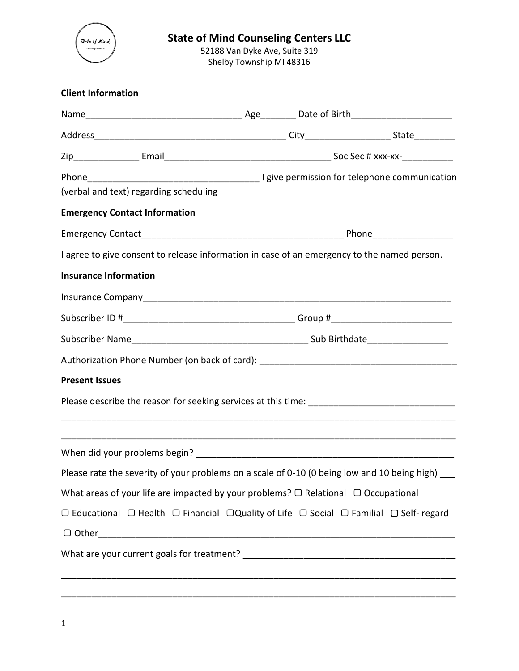

# **State of Mind Counseling Centers LLC**

52188 Van Dyke Ave, Suite 319 Shelby Township MI 48316

| (verbal and text) regarding scheduling                                                                                    |  |  |
|---------------------------------------------------------------------------------------------------------------------------|--|--|
| <b>Emergency Contact Information</b>                                                                                      |  |  |
|                                                                                                                           |  |  |
| I agree to give consent to release information in case of an emergency to the named person.                               |  |  |
| <b>Insurance Information</b>                                                                                              |  |  |
|                                                                                                                           |  |  |
|                                                                                                                           |  |  |
|                                                                                                                           |  |  |
| Authorization Phone Number (on back of card): ___________________________________                                         |  |  |
| <b>Present Issues</b>                                                                                                     |  |  |
|                                                                                                                           |  |  |
|                                                                                                                           |  |  |
| Please rate the severity of your problems on a scale of 0-10 (0 being low and 10 being high)                              |  |  |
| What areas of your life are impacted by your problems? $\Box$ Relational $\Box$ Occupational                              |  |  |
| $\Box$ Educational $\Box$ Health $\Box$ Financial $\Box$ Quality of Life $\Box$ Social $\Box$ Familial $\Box$ Self-regard |  |  |
|                                                                                                                           |  |  |
|                                                                                                                           |  |  |
|                                                                                                                           |  |  |
|                                                                                                                           |  |  |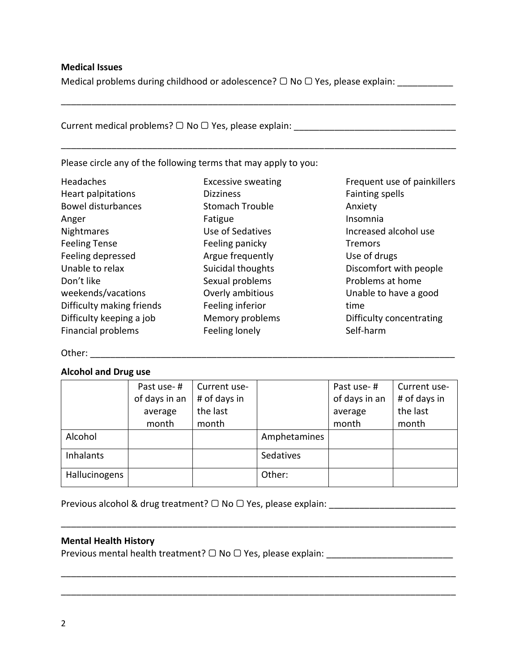### **Medical Issues**

Medical problems during childhood or adolescence?  $\Box$  No  $\Box$  Yes, please explain: \_\_\_\_\_\_\_\_\_\_\_\_\_\_\_

\_\_\_\_\_\_\_\_\_\_\_\_\_\_\_\_\_\_\_\_\_\_\_\_\_\_\_\_\_\_\_\_\_\_\_\_\_\_\_\_\_\_\_\_\_\_\_\_\_\_\_\_\_\_\_\_\_\_\_\_\_\_\_\_\_\_\_\_\_\_\_\_\_\_\_\_\_\_

\_\_\_\_\_\_\_\_\_\_\_\_\_\_\_\_\_\_\_\_\_\_\_\_\_\_\_\_\_\_\_\_\_\_\_\_\_\_\_\_\_\_\_\_\_\_\_\_\_\_\_\_\_\_\_\_\_\_\_\_\_\_\_\_\_\_\_\_\_\_\_\_\_\_\_\_\_\_

Current medical problems?  $\Box$  No  $\Box$  Yes, please explain:

Please circle any of the following terms that may apply to you:

| Headaches                 | <b>Excessive sweating</b> |
|---------------------------|---------------------------|
| Heart palpitations        | <b>Dizziness</b>          |
| <b>Bowel disturbances</b> | Stomach Trouble           |
| Anger                     | Fatigue                   |
| Nightmares                | Use of Sedatives          |
| <b>Feeling Tense</b>      | Feeling panicky           |
| Feeling depressed         | Argue frequently          |
| Unable to relax           | Suicidal thoughts         |
| Don't like                | Sexual problems           |
| weekends/vacations        | Overly ambitious          |
| Difficulty making friends | Feeling inferior          |
| Difficulty keeping a job  | Memory problems           |
| <b>Financial problems</b> | Feeling lonely            |
|                           |                           |

Frequent use of painkillers Fainting spells Anxiety Insomnia Increased alcohol use **Tremors** Use of drugs Discomfort with people Problems at home Unable to have a good time Difficulty concentrating Self-harm

Other: \_\_\_\_\_\_\_\_\_\_\_\_\_\_\_\_\_\_\_\_\_\_\_\_\_\_\_\_\_\_\_\_\_\_\_\_\_\_\_\_\_\_\_\_\_\_\_\_\_\_\_\_\_\_\_\_\_\_\_\_\_\_\_\_\_\_\_\_\_\_\_\_

#### **Alcohol and Drug use**

|                  | Past use-#<br>of days in an<br>average<br>month | Current use-<br># of days in<br>the last<br>month |              | Past use-#<br>of days in an<br>average<br>month | Current use-<br># of days in<br>the last<br>month |
|------------------|-------------------------------------------------|---------------------------------------------------|--------------|-------------------------------------------------|---------------------------------------------------|
| Alcohol          |                                                 |                                                   | Amphetamines |                                                 |                                                   |
| <b>Inhalants</b> |                                                 |                                                   | Sedatives    |                                                 |                                                   |
| Hallucinogens    |                                                 |                                                   | Other:       |                                                 |                                                   |

\_\_\_\_\_\_\_\_\_\_\_\_\_\_\_\_\_\_\_\_\_\_\_\_\_\_\_\_\_\_\_\_\_\_\_\_\_\_\_\_\_\_\_\_\_\_\_\_\_\_\_\_\_\_\_\_\_\_\_\_\_\_\_\_\_\_\_\_\_\_\_\_\_\_\_\_\_\_

\_\_\_\_\_\_\_\_\_\_\_\_\_\_\_\_\_\_\_\_\_\_\_\_\_\_\_\_\_\_\_\_\_\_\_\_\_\_\_\_\_\_\_\_\_\_\_\_\_\_\_\_\_\_\_\_\_\_\_\_\_\_\_\_\_\_\_\_\_\_\_\_\_\_\_\_\_\_

\_\_\_\_\_\_\_\_\_\_\_\_\_\_\_\_\_\_\_\_\_\_\_\_\_\_\_\_\_\_\_\_\_\_\_\_\_\_\_\_\_\_\_\_\_\_\_\_\_\_\_\_\_\_\_\_\_\_\_\_\_\_\_\_\_\_\_\_\_\_\_\_\_\_\_\_\_\_

Previous alcohol & drug treatment?  $\Box$  No  $\Box$  Yes, please explain:

#### **Mental Health History**

Previous mental health treatment?  $\Box$  No  $\Box$  Yes, please explain: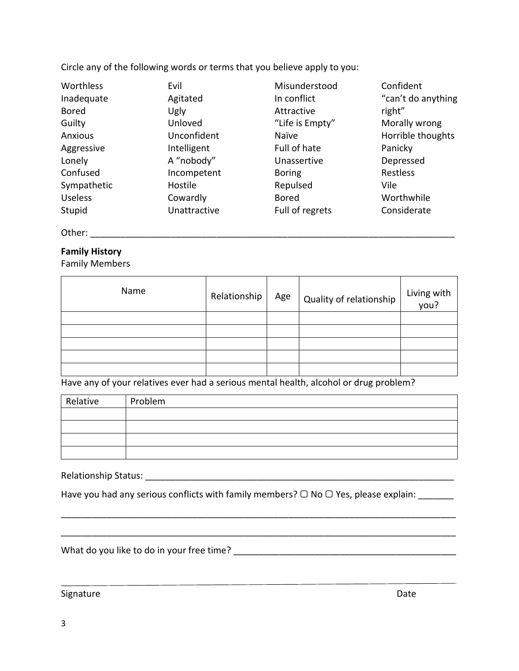Circle any of the following words or terms that you believe apply to you:

| Worthless      | Evil         | Misunderstood   | Confident          |
|----------------|--------------|-----------------|--------------------|
| Inadequate     | Agitated     | In conflict     | "can't do anything |
| <b>Bored</b>   | Ugly         | Attractive      | right"             |
| Guilty         | Unloved      | "Life is Empty" | Morally wrong      |
| Anxious        | Unconfident  | Naïve           | Horrible thoughts  |
| Aggressive     | Intelligent  | Full of hate    | Panicky            |
| Lonely         | A "nobody"   | Unassertive     | Depressed          |
| Confused       | Incompetent  | <b>Boring</b>   | Restless           |
| Sympathetic    | Hostile      | Repulsed        | Vile               |
| <b>Useless</b> | Cowardly     | <b>Bored</b>    | Worthwhile         |
| Stupid         | Unattractive | Full of regrets | Considerate        |

Other: \_\_\_\_\_\_\_\_\_\_\_\_\_\_\_\_\_\_\_\_\_\_\_\_\_\_\_\_\_\_\_\_\_\_\_\_\_\_\_\_\_\_\_\_\_\_\_\_\_\_\_\_\_\_\_\_\_\_\_\_\_\_\_\_\_\_\_\_\_\_\_\_

## **Family History**

Family Members

| Name | Relationship | Age | Quality of relationship | Living with<br>you? |
|------|--------------|-----|-------------------------|---------------------|
|      |              |     |                         |                     |
|      |              |     |                         |                     |
|      |              |     |                         |                     |
|      |              |     |                         |                     |
|      |              |     |                         |                     |

Have any of your relatives ever had a serious mental health, alcohol or drug problem?

| Relative | Problem |
|----------|---------|
|          |         |
|          |         |
|          |         |
|          |         |

\_\_\_\_\_\_\_\_\_\_\_\_\_\_\_\_\_\_\_\_\_\_\_\_\_\_\_\_\_\_\_\_\_\_\_\_\_\_\_\_\_\_\_\_\_\_\_\_\_\_\_\_\_\_\_\_\_\_\_\_\_\_\_\_\_\_\_\_\_\_\_\_\_\_\_\_\_\_

Relationship Status: \_\_\_\_\_\_\_\_\_\_\_\_\_\_\_\_\_\_\_\_\_\_\_\_\_\_\_\_\_\_\_\_\_\_\_\_\_\_\_\_\_\_\_\_\_\_\_\_\_\_\_\_\_\_\_\_\_\_\_\_\_

Have you had any serious conflicts with family members? ○ No ○ Yes, please explain: \_\_\_\_\_\_

What do you like to do in your free time? \_\_\_\_\_\_\_\_\_\_\_\_\_\_\_\_\_\_\_\_\_\_\_\_\_\_\_\_\_\_\_\_\_\_\_\_\_\_\_\_\_\_\_\_

Signature Date Date Communications and the Date Date Date Date Date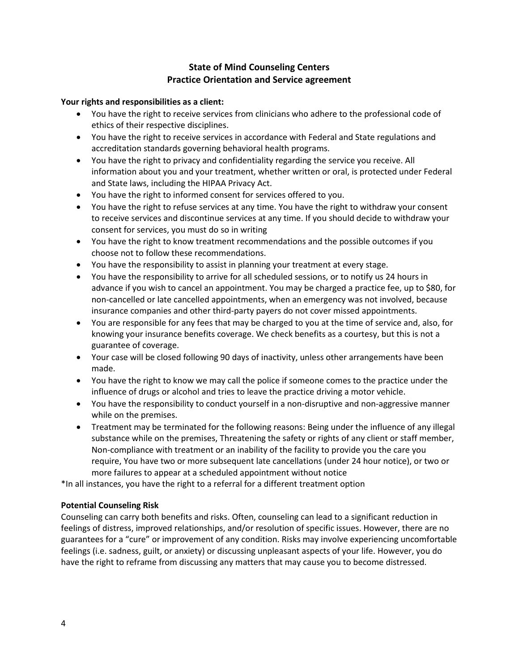# **State of Mind Counseling Centers Practice Orientation and Service agreement**

#### **Your rights and responsibilities as a client:**

- You have the right to receive services from clinicians who adhere to the professional code of ethics of their respective disciplines.
- You have the right to receive services in accordance with Federal and State regulations and accreditation standards governing behavioral health programs.
- You have the right to privacy and confidentiality regarding the service you receive. All information about you and your treatment, whether written or oral, is protected under Federal and State laws, including the HIPAA Privacy Act.
- You have the right to informed consent for services offered to you.
- You have the right to refuse services at any time. You have the right to withdraw your consent to receive services and discontinue services at any time. If you should decide to withdraw your consent for services, you must do so in writing
- You have the right to know treatment recommendations and the possible outcomes if you choose not to follow these recommendations.
- You have the responsibility to assist in planning your treatment at every stage.
- You have the responsibility to arrive for all scheduled sessions, or to notify us 24 hours in advance if you wish to cancel an appointment. You may be charged a practice fee, up to \$80, for non-cancelled or late cancelled appointments, when an emergency was not involved, because insurance companies and other third-party payers do not cover missed appointments.
- You are responsible for any fees that may be charged to you at the time of service and, also, for knowing your insurance benefits coverage. We check benefits as a courtesy, but this is not a guarantee of coverage.
- Your case will be closed following 90 days of inactivity, unless other arrangements have been made.
- You have the right to know we may call the police if someone comes to the practice under the influence of drugs or alcohol and tries to leave the practice driving a motor vehicle.
- You have the responsibility to conduct yourself in a non-disruptive and non-aggressive manner while on the premises.
- Treatment may be terminated for the following reasons: Being under the influence of any illegal substance while on the premises, Threatening the safety or rights of any client or staff member, Non-compliance with treatment or an inability of the facility to provide you the care you require, You have two or more subsequent late cancellations (under 24 hour notice), or two or more failures to appear at a scheduled appointment without notice

\*In all instances, you have the right to a referral for a different treatment option

## **Potential Counseling Risk**

Counseling can carry both benefits and risks. Often, counseling can lead to a significant reduction in feelings of distress, improved relationships, and/or resolution of specific issues. However, there are no guarantees for a "cure" or improvement of any condition. Risks may involve experiencing uncomfortable feelings (i.e. sadness, guilt, or anxiety) or discussing unpleasant aspects of your life. However, you do have the right to reframe from discussing any matters that may cause you to become distressed.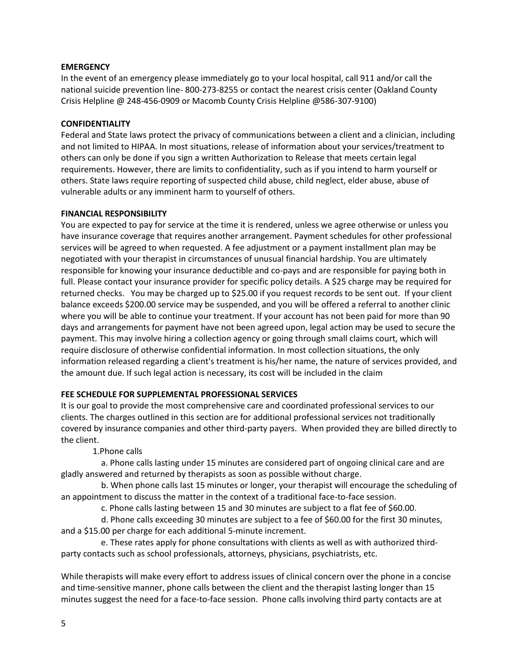#### **EMERGENCY**

In the event of an emergency please immediately go to your local hospital, call 911 and/or call the national suicide prevention line- 800-273-8255 or contact the nearest crisis center (Oakland County Crisis Helpline @ 248-456-0909 or Macomb County Crisis Helpline @586-307-9100)

#### **CONFIDENTIALITY**

Federal and State laws protect the privacy of communications between a client and a clinician, including and not limited to HIPAA. In most situations, release of information about your services/treatment to others can only be done if you sign a written Authorization to Release that meets certain legal requirements. However, there are limits to confidentiality, such as if you intend to harm yourself or others. State laws require reporting of suspected child abuse, child neglect, elder abuse, abuse of vulnerable adults or any imminent harm to yourself of others.

#### **FINANCIAL RESPONSIBILITY**

You are expected to pay for service at the time it is rendered, unless we agree otherwise or unless you have insurance coverage that requires another arrangement. Payment schedules for other professional services will be agreed to when requested. A fee adjustment or a payment installment plan may be negotiated with your therapist in circumstances of unusual financial hardship. You are ultimately responsible for knowing your insurance deductible and co-pays and are responsible for paying both in full. Please contact your insurance provider for specific policy details. A \$25 charge may be required for returned checks. You may be charged up to \$25.00 if you request records to be sent out. If your client balance exceeds \$200.00 service may be suspended, and you will be offered a referral to another clinic where you will be able to continue your treatment. If your account has not been paid for more than 90 days and arrangements for payment have not been agreed upon, legal action may be used to secure the payment. This may involve hiring a collection agency or going through small claims court, which will require disclosure of otherwise confidential information. In most collection situations, the only information released regarding a client's treatment is his/her name, the nature of services provided, and the amount due. If such legal action is necessary, its cost will be included in the claim

#### **FEE SCHEDULE FOR SUPPLEMENTAL PROFESSIONAL SERVICES**

It is our goal to provide the most comprehensive care and coordinated professional services to our clients. The charges outlined in this section are for additional professional services not traditionally covered by insurance companies and other third-party payers. When provided they are billed directly to the client.

1.Phone calls

 a. Phone calls lasting under 15 minutes are considered part of ongoing clinical care and are gladly answered and returned by therapists as soon as possible without charge.

 b. When phone calls last 15 minutes or longer, your therapist will encourage the scheduling of an appointment to discuss the matter in the context of a traditional face-to-face session.

c. Phone calls lasting between 15 and 30 minutes are subject to a flat fee of \$60.00.

 d. Phone calls exceeding 30 minutes are subject to a fee of \$60.00 for the first 30 minutes, and a \$15.00 per charge for each additional 5-minute increment.

 e. These rates apply for phone consultations with clients as well as with authorized thirdparty contacts such as school professionals, attorneys, physicians, psychiatrists, etc.

While therapists will make every effort to address issues of clinical concern over the phone in a concise and time-sensitive manner, phone calls between the client and the therapist lasting longer than 15 minutes suggest the need for a face-to-face session. Phone calls involving third party contacts are at